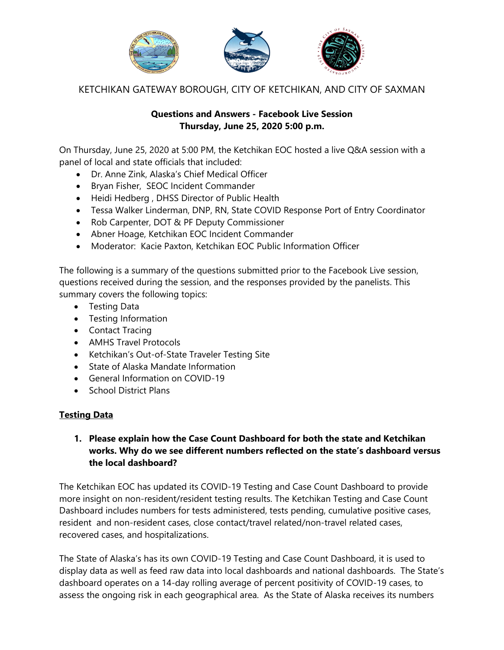

KETCHIKAN GATEWAY BOROUGH, CITY OF KETCHIKAN, AND CITY OF SAXMAN

#### **Questions and Answers - Facebook Live Session Thursday, June 25, 2020 5:00 p.m.**

On Thursday, June 25, 2020 at 5:00 PM, the Ketchikan EOC hosted a live Q&A session with a panel of local and state officials that included:

- Dr. Anne Zink, Alaska's Chief Medical Officer
- Bryan Fisher, SEOC Incident Commander
- Heidi Hedberg , DHSS Director of Public Health
- Tessa Walker Linderman, DNP, RN, State COVID Response Port of Entry Coordinator
- Rob Carpenter, DOT & PF Deputy Commissioner
- Abner Hoage, Ketchikan EOC Incident Commander
- Moderator: Kacie Paxton, Ketchikan EOC Public Information Officer

The following is a summary of the questions submitted prior to the Facebook Live session, questions received during the session, and the responses provided by the panelists. This summary covers the following topics:

- Testing Data
- Testing Information
- Contact Tracing
- AMHS Travel Protocols
- Ketchikan's Out-of-State Traveler Testing Site
- State of Alaska Mandate Information
- General Information on COVID-19
- School District Plans

## **Testing Data**

### **1. Please explain how the Case Count Dashboard for both the state and Ketchikan works. Why do we see different numbers reflected on the state's dashboard versus the local dashboard?**

The Ketchikan EOC has updated its COVID-19 Testing and Case Count Dashboard to provide more insight on non-resident/resident testing results. The Ketchikan Testing and Case Count Dashboard includes numbers for tests administered, tests pending, cumulative positive cases, resident and non-resident cases, close contact/travel related/non-travel related cases, recovered cases, and hospitalizations.

The State of Alaska's has its own COVID-19 Testing and Case Count Dashboard, it is used to display data as well as feed raw data into local dashboards and national dashboards. The State's dashboard operates on a 14-day rolling average of percent positivity of COVID-19 cases, to assess the ongoing risk in each geographical area. As the State of Alaska receives its numbers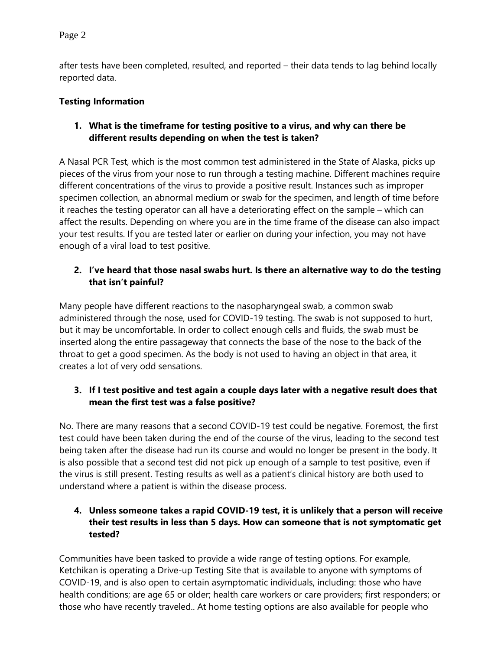after tests have been completed, resulted, and reported – their data tends to lag behind locally reported data.

## **Testing Information**

### **1. What is the timeframe for testing positive to a virus, and why can there be different results depending on when the test is taken?**

A Nasal PCR Test, which is the most common test administered in the State of Alaska, picks up pieces of the virus from your nose to run through a testing machine. Different machines require different concentrations of the virus to provide a positive result. Instances such as improper specimen collection, an abnormal medium or swab for the specimen, and length of time before it reaches the testing operator can all have a deteriorating effect on the sample – which can affect the results. Depending on where you are in the time frame of the disease can also impact your test results. If you are tested later or earlier on during your infection, you may not have enough of a viral load to test positive.

## **2. I've heard that those nasal swabs hurt. Is there an alternative way to do the testing that isn't painful?**

Many people have different reactions to the nasopharyngeal swab, a common swab administered through the nose, used for COVID-19 testing. The swab is not supposed to hurt, but it may be uncomfortable. In order to collect enough cells and fluids, the swab must be inserted along the entire passageway that connects the base of the nose to the back of the throat to get a good specimen. As the body is not used to having an object in that area, it creates a lot of very odd sensations.

## **3. If I test positive and test again a couple days later with a negative result does that mean the first test was a false positive?**

No. There are many reasons that a second COVID-19 test could be negative. Foremost, the first test could have been taken during the end of the course of the virus, leading to the second test being taken after the disease had run its course and would no longer be present in the body. It is also possible that a second test did not pick up enough of a sample to test positive, even if the virus is still present. Testing results as well as a patient's clinical history are both used to understand where a patient is within the disease process.

## **4. Unless someone takes a rapid COVID-19 test, it is unlikely that a person will receive their test results in less than 5 days. How can someone that is not symptomatic get tested?**

Communities have been tasked to provide a wide range of testing options. For example, Ketchikan is operating a Drive-up Testing Site that is available to anyone with symptoms of COVID-19, and is also open to certain asymptomatic individuals, including: those who have health conditions; are age 65 or older; health care workers or care providers; first responders; or those who have recently traveled.. At home testing options are also available for people who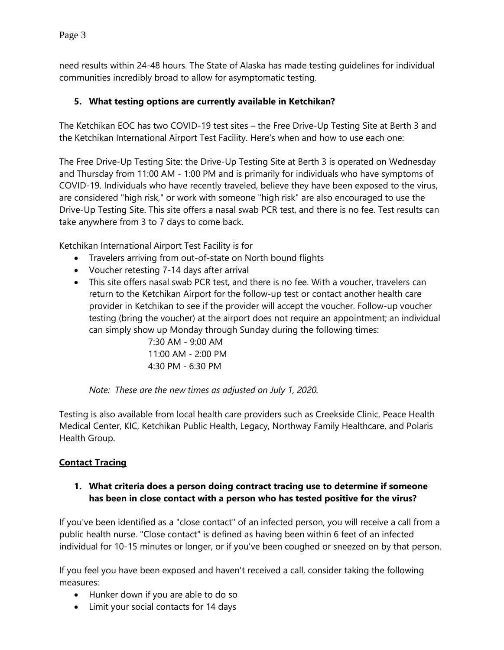need results within 24-48 hours. The State of Alaska has made testing guidelines for individual communities incredibly broad to allow for asymptomatic testing.

## **5. What testing options are currently available in Ketchikan?**

The Ketchikan EOC has two COVID-19 test sites – the Free Drive-Up Testing Site at Berth 3 and the Ketchikan International Airport Test Facility. Here's when and how to use each one:

The Free Drive-Up Testing Site: the Drive-Up Testing Site at Berth 3 is operated on Wednesday and Thursday from 11:00 AM - 1:00 PM and is primarily for individuals who have symptoms of COVID-19. Individuals who have recently traveled, believe they have been exposed to the virus, are considered "high risk," or work with someone "high risk" are also encouraged to use the Drive-Up Testing Site. This site offers a nasal swab PCR test, and there is no fee. Test results can take anywhere from 3 to 7 days to come back.

Ketchikan International Airport Test Facility is for

- Travelers arriving from out-of-state on North bound flights
- Voucher retesting 7-14 days after arrival
- This site offers nasal swab PCR test, and there is no fee. With a voucher, travelers can return to the Ketchikan Airport for the follow-up test or contact another health care provider in Ketchikan to see if the provider will accept the voucher. Follow-up voucher testing (bring the voucher) at the airport does not require an appointment; an individual can simply show up Monday through Sunday during the following times:

7:30 AM - 9:00 AM  $11:00$  AM - 2:00 PM 4:30 PM - 6:30 PM

*Note: These are the new times as adjusted on July 1, 2020.* 

Testing is also available from local health care providers such as Creekside Clinic, Peace Health Medical Center, KIC, Ketchikan Public Health, Legacy, Northway Family Healthcare, and Polaris Health Group.

## **Contact Tracing**

#### **1. What criteria does a person doing contract tracing use to determine if someone has been in close contact with a person who has tested positive for the virus?**

If you've been identified as a "close contact" of an infected person, you will receive a call from a public health nurse. "Close contact" is defined as having been within 6 feet of an infected individual for 10-15 minutes or longer, or if you've been coughed or sneezed on by that person.

If you feel you have been exposed and haven't received a call, consider taking the following measures:

- Hunker down if you are able to do so
- Limit your social contacts for 14 days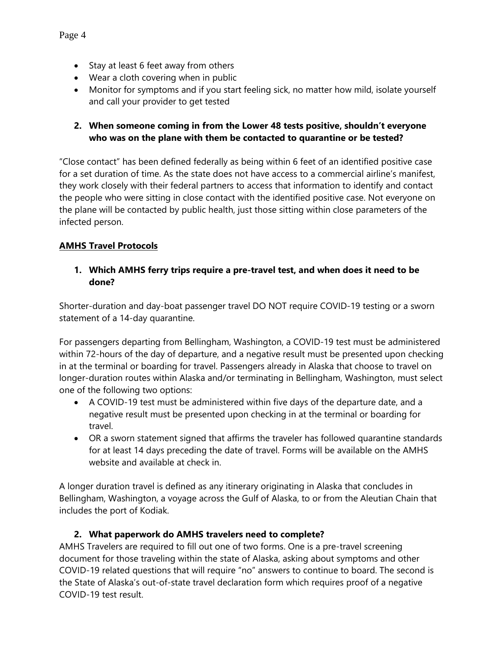- Stay at least 6 feet away from others
- Wear a cloth covering when in public
- Monitor for symptoms and if you start feeling sick, no matter how mild, isolate yourself and call your provider to get tested

#### **2. When someone coming in from the Lower 48 tests positive, shouldn't everyone who was on the plane with them be contacted to quarantine or be tested?**

"Close contact" has been defined federally as being within 6 feet of an identified positive case for a set duration of time. As the state does not have access to a commercial airline's manifest, they work closely with their federal partners to access that information to identify and contact the people who were sitting in close contact with the identified positive case. Not everyone on the plane will be contacted by public health, just those sitting within close parameters of the infected person.

## **AMHS Travel Protocols**

#### **1. Which AMHS ferry trips require a pre-travel test, and when does it need to be done?**

Shorter-duration and day-boat passenger travel DO NOT require COVID-19 testing or a sworn statement of a 14-day quarantine.

For passengers departing from Bellingham, Washington, a COVID-19 test must be administered within 72-hours of the day of departure, and a negative result must be presented upon checking in at the terminal or boarding for travel. Passengers already in Alaska that choose to travel on longer-duration routes within Alaska and/or terminating in Bellingham, Washington, must select one of the following two options:

- A COVID-19 test must be administered within five days of the departure date, and a negative result must be presented upon checking in at the terminal or boarding for travel.
- OR a sworn statement signed that affirms the traveler has followed quarantine standards for at least 14 days preceding the date of travel. Forms will be available on the AMHS website and available at check in.

A longer duration travel is defined as any itinerary originating in Alaska that concludes in Bellingham, Washington, a voyage across the Gulf of Alaska, to or from the Aleutian Chain that includes the port of Kodiak.

#### **2. What paperwork do AMHS travelers need to complete?**

AMHS Travelers are required to fill out one of two forms. One is a pre-travel screening document for those traveling within the state of Alaska, asking about symptoms and other COVID-19 related questions that will require "no" answers to continue to board. The second is the State of Alaska's out-of-state travel declaration form which requires proof of a negative COVID-19 test result.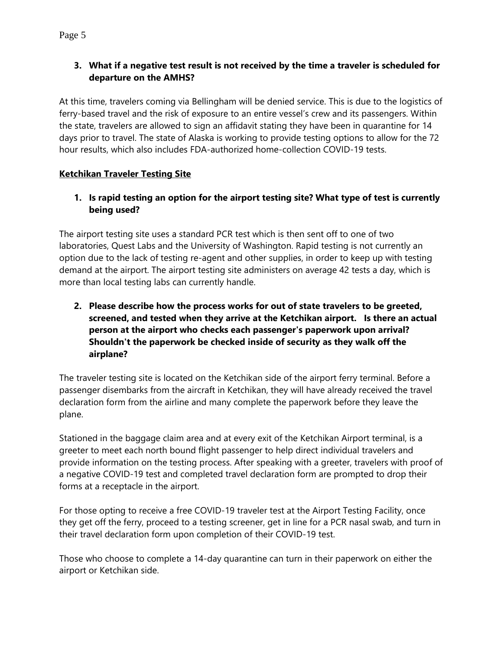## **3. What if a negative test result is not received by the time a traveler is scheduled for departure on the AMHS?**

At this time, travelers coming via Bellingham will be denied service. This is due to the logistics of ferry-based travel and the risk of exposure to an entire vessel's crew and its passengers. Within the state, travelers are allowed to sign an affidavit stating they have been in quarantine for 14 days prior to travel. The state of Alaska is working to provide testing options to allow for the 72 hour results, which also includes FDA-authorized home-collection COVID-19 tests.

## **Ketchikan Traveler Testing Site**

## **1. Is rapid testing an option for the airport testing site? What type of test is currently being used?**

The airport testing site uses a standard PCR test which is then sent off to one of two laboratories, Quest Labs and the University of Washington. Rapid testing is not currently an option due to the lack of testing re-agent and other supplies, in order to keep up with testing demand at the airport. The airport testing site administers on average 42 tests a day, which is more than local testing labs can currently handle.

# **2. Please describe how the process works for out of state travelers to be greeted, screened, and tested when they arrive at the Ketchikan airport. Is there an actual person at the airport who checks each passenger's paperwork upon arrival? Shouldn't the paperwork be checked inside of security as they walk off the airplane?**

The traveler testing site is located on the Ketchikan side of the airport ferry terminal. Before a passenger disembarks from the aircraft in Ketchikan, they will have already received the travel declaration form from the airline and many complete the paperwork before they leave the plane.

Stationed in the baggage claim area and at every exit of the Ketchikan Airport terminal, is a greeter to meet each north bound flight passenger to help direct individual travelers and provide information on the testing process. After speaking with a greeter, travelers with proof of a negative COVID-19 test and completed travel declaration form are prompted to drop their forms at a receptacle in the airport.

For those opting to receive a free COVID-19 traveler test at the Airport Testing Facility, once they get off the ferry, proceed to a testing screener, get in line for a PCR nasal swab, and turn in their travel declaration form upon completion of their COVID-19 test.

Those who choose to complete a 14-day quarantine can turn in their paperwork on either the airport or Ketchikan side.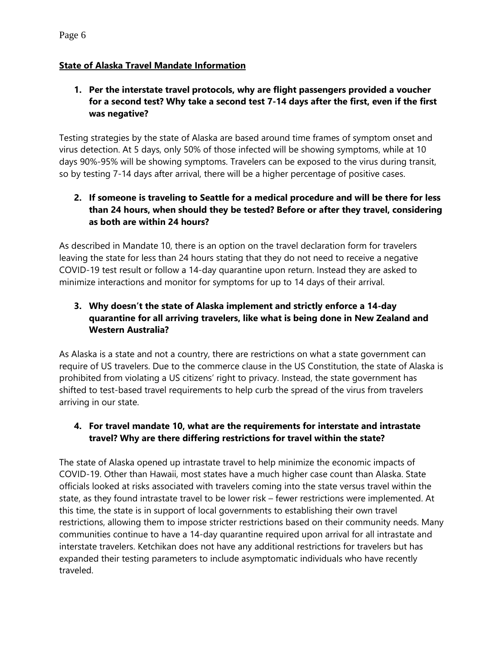#### **State of Alaska Travel Mandate Information**

### **1. Per the interstate travel protocols, why are flight passengers provided a voucher for a second test? Why take a second test 7-14 days after the first, even if the first was negative?**

Testing strategies by the state of Alaska are based around time frames of symptom onset and virus detection. At 5 days, only 50% of those infected will be showing symptoms, while at 10 days 90%-95% will be showing symptoms. Travelers can be exposed to the virus during transit, so by testing 7-14 days after arrival, there will be a higher percentage of positive cases.

## **2. If someone is traveling to Seattle for a medical procedure and will be there for less than 24 hours, when should they be tested? Before or after they travel, considering as both are within 24 hours?**

As described in Mandate 10, there is an option on the travel declaration form for travelers leaving the state for less than 24 hours stating that they do not need to receive a negative COVID-19 test result or follow a 14-day quarantine upon return. Instead they are asked to minimize interactions and monitor for symptoms for up to 14 days of their arrival.

## **3. Why doesn't the state of Alaska implement and strictly enforce a 14-day quarantine for all arriving travelers, like what is being done in New Zealand and Western Australia?**

As Alaska is a state and not a country, there are restrictions on what a state government can require of US travelers. Due to the commerce clause in the US Constitution, the state of Alaska is prohibited from violating a US citizens' right to privacy. Instead, the state government has shifted to test-based travel requirements to help curb the spread of the virus from travelers arriving in our state.

## **4. For travel mandate 10, what are the requirements for interstate and intrastate travel? Why are there differing restrictions for travel within the state?**

The state of Alaska opened up intrastate travel to help minimize the economic impacts of COVID-19. Other than Hawaii, most states have a much higher case count than Alaska. State officials looked at risks associated with travelers coming into the state versus travel within the state, as they found intrastate travel to be lower risk – fewer restrictions were implemented. At this time, the state is in support of local governments to establishing their own travel restrictions, allowing them to impose stricter restrictions based on their community needs. Many communities continue to have a 14-day quarantine required upon arrival for all intrastate and interstate travelers. Ketchikan does not have any additional restrictions for travelers but has expanded their testing parameters to include asymptomatic individuals who have recently traveled.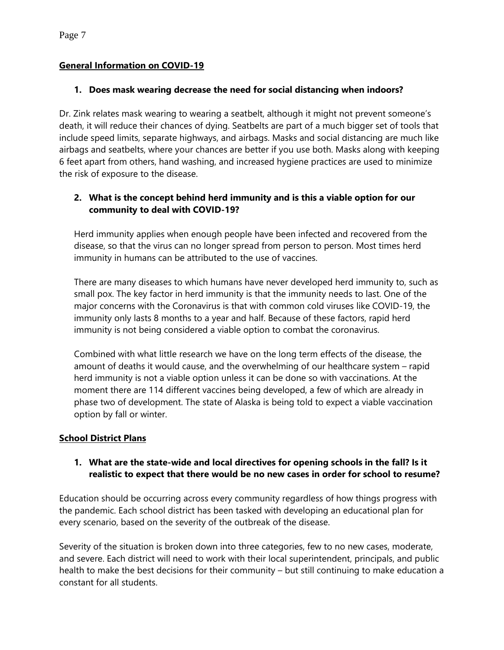#### **General Information on COVID-19**

#### **1. Does mask wearing decrease the need for social distancing when indoors?**

Dr. Zink relates mask wearing to wearing a seatbelt, although it might not prevent someone's death, it will reduce their chances of dying. Seatbelts are part of a much bigger set of tools that include speed limits, separate highways, and airbags. Masks and social distancing are much like airbags and seatbelts, where your chances are better if you use both. Masks along with keeping 6 feet apart from others, hand washing, and increased hygiene practices are used to minimize the risk of exposure to the disease.

## **2. What is the concept behind herd immunity and is this a viable option for our community to deal with COVID-19?**

Herd immunity applies when enough people have been infected and recovered from the disease, so that the virus can no longer spread from person to person. Most times herd immunity in humans can be attributed to the use of vaccines.

There are many diseases to which humans have never developed herd immunity to, such as small pox. The key factor in herd immunity is that the immunity needs to last. One of the major concerns with the Coronavirus is that with common cold viruses like COVID-19, the immunity only lasts 8 months to a year and half. Because of these factors, rapid herd immunity is not being considered a viable option to combat the coronavirus.

Combined with what little research we have on the long term effects of the disease, the amount of deaths it would cause, and the overwhelming of our healthcare system – rapid herd immunity is not a viable option unless it can be done so with vaccinations. At the moment there are 114 different vaccines being developed, a few of which are already in phase two of development. The state of Alaska is being told to expect a viable vaccination option by fall or winter.

#### **School District Plans**

#### **1. What are the state-wide and local directives for opening schools in the fall? Is it realistic to expect that there would be no new cases in order for school to resume?**

Education should be occurring across every community regardless of how things progress with the pandemic. Each school district has been tasked with developing an educational plan for every scenario, based on the severity of the outbreak of the disease.

Severity of the situation is broken down into three categories, few to no new cases, moderate, and severe. Each district will need to work with their local superintendent, principals, and public health to make the best decisions for their community – but still continuing to make education a constant for all students.